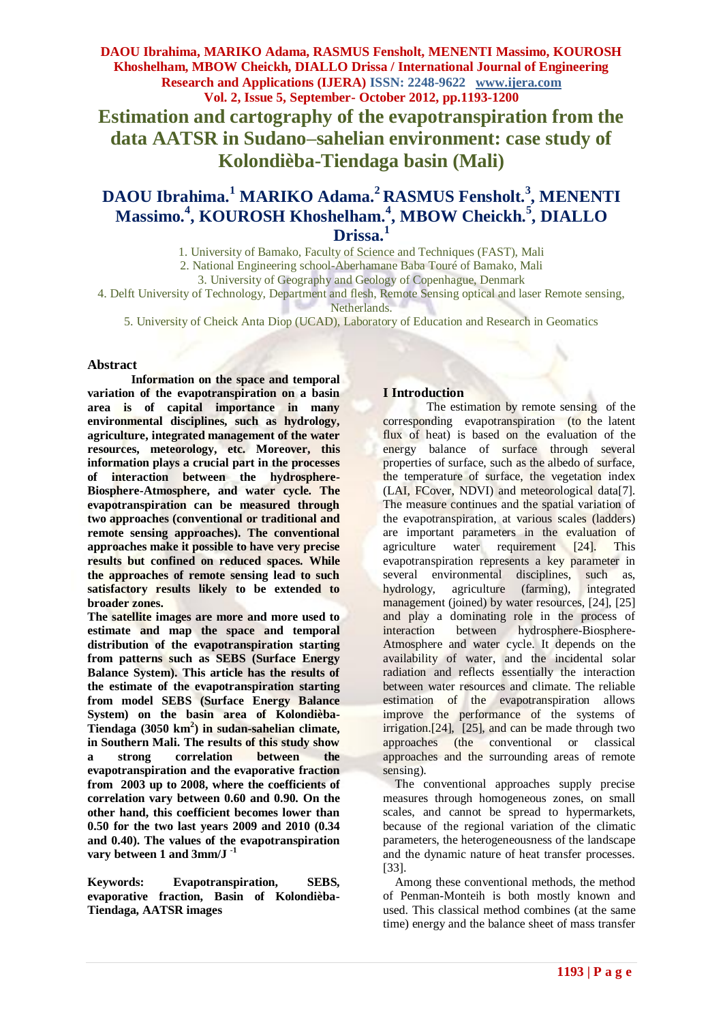**DAOU Ibrahima, MARIKO Adama, RASMUS Fensholt, MENENTI Massimo, KOUROSH Khoshelham, MBOW Cheickh, DIALLO Drissa / International Journal of Engineering Research and Applications (IJERA) ISSN: 2248-9622 www.ijera.com Vol. 2, Issue 5, September- October 2012, pp.1193-1200 Estimation and cartography of the evapotranspiration from the data AATSR in Sudano–sahelian environment: case study of Kolondièba-Tiendaga basin (Mali)**

# **DAOU Ibrahima.<sup>1</sup> MARIKO Adama.<sup>2</sup>RASMUS Fensholt.<sup>3</sup> , MENENTI Massimo.<sup>4</sup> , KOUROSH Khoshelham.<sup>4</sup> , MBOW Cheickh. 5 , DIALLO Drissa.<sup>1</sup>**

1. University of Bamako, Faculty of Science and Techniques (FAST), Mali

2. National Engineering school-Aberhamane Baba Touré of Bamako, Mali

3. University of Geography and Geology of Copenhague, Denmark

4. Delft University of Technology, Department and flesh, Remote Sensing optical and laser Remote sensing, Netherlands.

5. University of Cheick Anta Diop (UCAD), Laboratory of Education and Research in Geomatics

### **Abstract**

**Information on the space and temporal variation of the evapotranspiration on a basin area is of capital importance in many environmental disciplines, such as hydrology, agriculture, integrated management of the water resources, meteorology, etc. Moreover, this information plays a crucial part in the processes of interaction between the hydrosphere-Biosphere-Atmosphere, and water cycle. The evapotranspiration can be measured through two approaches (conventional or traditional and remote sensing approaches). The conventional approaches make it possible to have very precise results but confined on reduced spaces. While the approaches of remote sensing lead to such satisfactory results likely to be extended to broader zones.** 

**The satellite images are more and more used to estimate and map the space and temporal distribution of the evapotranspiration starting from patterns such as SEBS (Surface Energy Balance System). This article has the results of the estimate of the evapotranspiration starting from model SEBS (Surface Energy Balance System) on the basin area of Kolondièba-Tiendaga (3050 km<sup>2</sup> ) in sudan-sahelian climate, in Southern Mali. The results of this study show a strong correlation between the evapotranspiration and the evaporative fraction from 2003 up to 2008, where the coefficients of correlation vary between 0.60 and 0.90. On the other hand, this coefficient becomes lower than 0.50 for the two last years 2009 and 2010 (0.34 and 0.40). The values of the evapotranspiration vary between 1 and 3mm/J -1** 

**Keywords: Evapotranspiration, SEBS, evaporative fraction, Basin of Kolondièba-Tiendaga, AATSR images**

### **I Introduction**

The estimation by remote sensing of the corresponding evapotranspiration (to the latent flux of heat) is based on the evaluation of the energy balance of surface through several properties of surface, such as the albedo of surface, the temperature of surface, the vegetation index (LAI, FCover, NDVI) and meteorological data[7]. The measure continues and the spatial variation of the evapotranspiration, at various scales (ladders) are important parameters in the evaluation of agriculture water requirement [24]. This evapotranspiration represents a key parameter in several environmental disciplines, such as, hydrology, agriculture (farming), integrated management (joined) by water resources, [24], [25] and play a dominating role in the process of interaction between hydrosphere-Biosphere-Atmosphere and water cycle. It depends on the availability of water, and the incidental solar radiation and reflects essentially the interaction between water resources and climate. The reliable estimation of the evapotranspiration allows improve the performance of the systems of irrigation.[24], [25], and can be made through two approaches (the conventional or classical approaches and the surrounding areas of remote sensing).

 The conventional approaches supply precise measures through homogeneous zones, on small scales, and cannot be spread to hypermarkets, because of the regional variation of the climatic parameters, the heterogeneousness of the landscape and the dynamic nature of heat transfer processes. [33].

 Among these conventional methods, the method of Penman-Monteih is both mostly known and used. This classical method combines (at the same time) energy and the balance sheet of mass transfer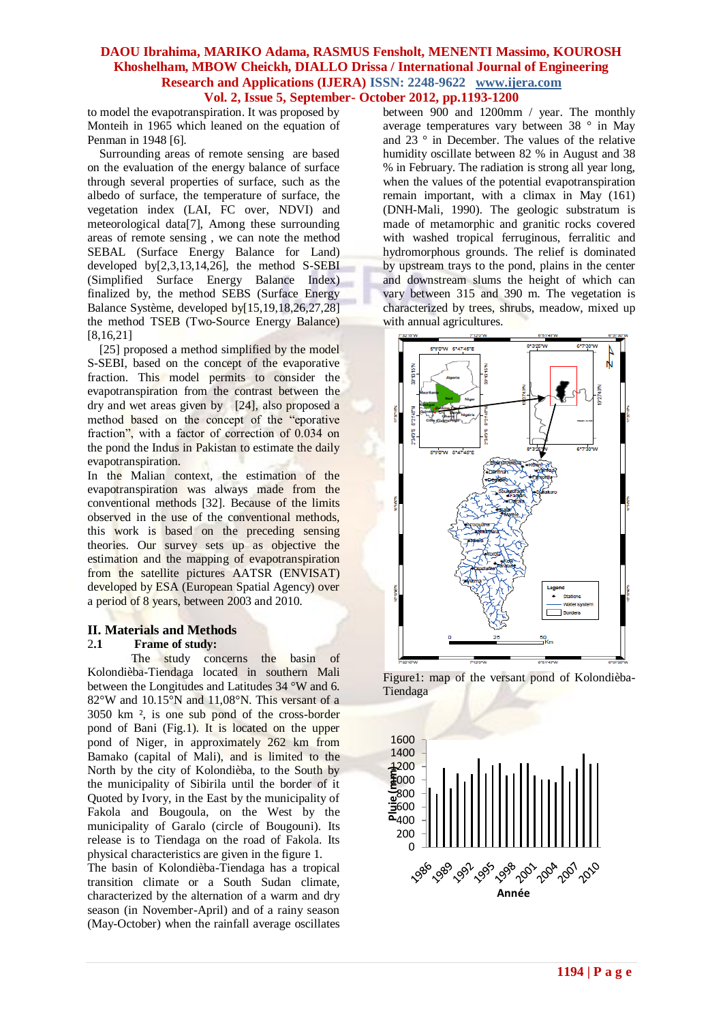to model the evapotranspiration. It was proposed by Monteih in 1965 which leaned on the equation of Penman in 1948 [6].

 Surrounding areas of remote sensing are based on the evaluation of the energy balance of surface through several properties of surface, such as the albedo of surface, the temperature of surface, the vegetation index (LAI, FC over, NDVI) and meteorological data[7], Among these surrounding areas of remote sensing , we can note the method SEBAL (Surface Energy Balance for Land) developed by $[2,3,13,14,26]$ , the method S-SEBI (Simplified Surface Energy Balance Index) finalized by, the method SEBS (Surface Energy Balance Système, developed by[15,19,18,26,27,28] the method TSEB (Two-Source Energy Balance) [8,16,21]

 [25] proposed a method simplified by the model S-SEBI, based on the concept of the evaporative fraction. This model permits to consider the evapotranspiration from the contrast between the dry and wet areas given by [24], also proposed a method based on the concept of the "eporative fraction", with a factor of correction of 0.034 on the pond the Indus in Pakistan to estimate the daily evapotranspiration.

In the Malian context, the estimation of the evapotranspiration was always made from the conventional methods [32]. Because of the limits observed in the use of the conventional methods, this work is based on the preceding sensing theories. Our survey sets up as objective the estimation and the mapping of evapotranspiration from the satellite pictures AATSR (ENVISAT) developed by ESA (European Spatial Agency) over a period of 8 years, between 2003 and 2010.

### **II. Materials and Methods**

### 2**.1 Frame of study:**

The study concerns the basin of Kolondièba-Tiendaga located in southern Mali between the Longitudes and Latitudes 34 °W and 6. 82°W and 10.15°N and 11,08°N. This versant of a 3050 km ², is one sub pond of the cross-border pond of Bani (Fig.1). It is located on the upper pond of Niger, in approximately 262 km from Bamako (capital of Mali), and is limited to the North by the city of Kolondièba, to the South by the municipality of Sibirila until the border of it Quoted by Ivory, in the East by the municipality of Fakola and Bougoula, on the West by the municipality of Garalo (circle of Bougouni). Its release is to Tiendaga on the road of Fakola. Its physical characteristics are given in the figure 1.

The basin of Kolondièba-Tiendaga has a tropical transition climate or a South Sudan climate, characterized by the alternation of a warm and dry season (in November-April) and of a rainy season (May-October) when the rainfall average oscillates between 900 and 1200mm / year. The monthly average temperatures vary between 38 ° in May and 23 ° in December. The values of the relative humidity oscillate between 82 % in August and 38 % in February. The radiation is strong all year long, when the values of the potential evapotranspiration remain important, with a climax in May (161) (DNH-Mali, 1990). The geologic substratum is made of metamorphic and granitic rocks covered with washed tropical ferruginous, ferralitic and hydromorphous grounds. The relief is dominated by upstream trays to the pond, plains in the center and downstream slums the height of which can vary between 315 and 390 m. The vegetation is characterized by trees, shrubs, meadow, mixed up with annual agricultures.



Figure1: map of the versant pond of Kolondièba-Tiendaga

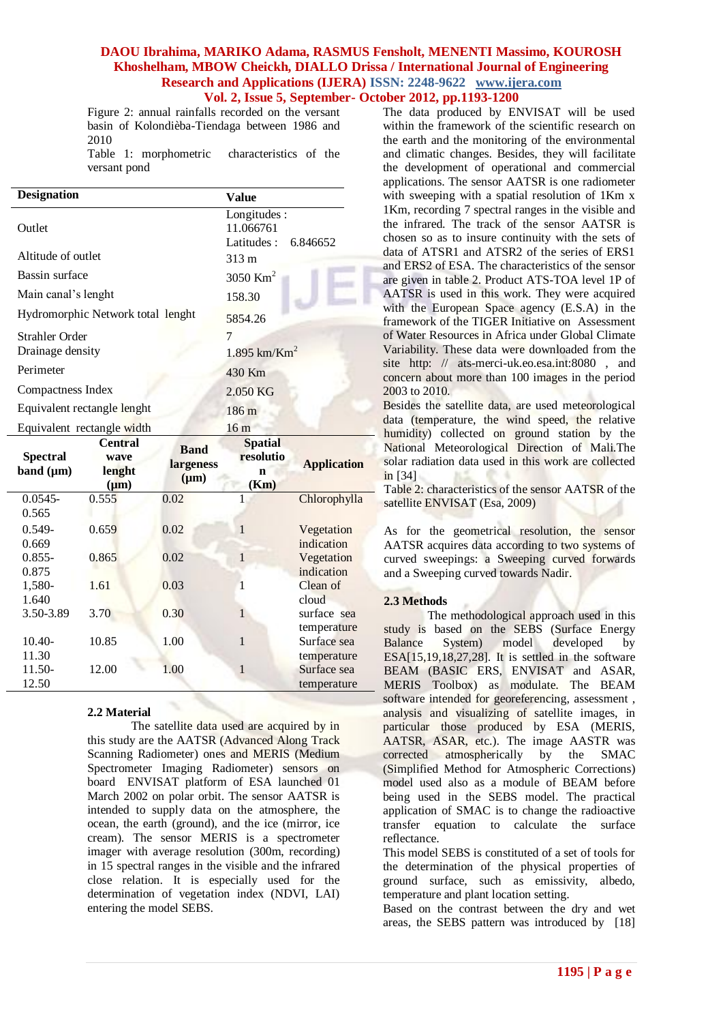Figure 2: annual rainfalls recorded on the versant basin of Kolondièba-Tiendaga between 1986 and 2010

Table 1: morphometric characteristics of the versant pond

| <b>Designation</b>                |                                               | <b>Value</b>                                       |                                          |                                           |  |  |  |  |  |  |
|-----------------------------------|-----------------------------------------------|----------------------------------------------------|------------------------------------------|-------------------------------------------|--|--|--|--|--|--|
| Outlet                            |                                               | Longitudes:<br>11.066761<br>Latitudes:<br>6.846652 |                                          |                                           |  |  |  |  |  |  |
| Altitude of outlet                |                                               | 313 m                                              |                                          |                                           |  |  |  |  |  |  |
| Bassin surface                    |                                               | 3050 Km <sup>2</sup>                               |                                          |                                           |  |  |  |  |  |  |
| Main canal's lenght               |                                               | 158.30                                             |                                          |                                           |  |  |  |  |  |  |
|                                   | Hydromorphic Network total lenght             | 5854.26                                            |                                          |                                           |  |  |  |  |  |  |
| <b>Strahler Order</b>             |                                               | 7                                                  |                                          |                                           |  |  |  |  |  |  |
| Drainage density                  |                                               | $1.895$ km/Km <sup>2</sup>                         |                                          |                                           |  |  |  |  |  |  |
| Perimeter                         |                                               | 430 Km                                             |                                          |                                           |  |  |  |  |  |  |
| Compactness Index                 |                                               | 2.050 KG                                           |                                          |                                           |  |  |  |  |  |  |
|                                   | Equivalent rectangle lenght                   | 186 <sub>m</sub>                                   |                                          |                                           |  |  |  |  |  |  |
|                                   | Equivalent rectangle width                    | 16 <sub>m</sub>                                    |                                          |                                           |  |  |  |  |  |  |
| <b>Spectral</b><br>band $(\mu m)$ | <b>Central</b><br>wave<br>lenght<br>$(\mu m)$ | <b>Band</b><br>largeness<br>$(\mu m)$              | <b>Spatial</b><br>resolutio<br>n<br>(Km) | <b>Application</b>                        |  |  |  |  |  |  |
| $0.0545 -$                        | 0.555                                         | 0.02                                               | 1                                        | Chlorophylla                              |  |  |  |  |  |  |
| 0.565<br>$0.549 -$<br>0.669       | 0.659                                         | 0.02                                               | $\mathbf{1}$                             | Vegetation<br>indication                  |  |  |  |  |  |  |
| $0.855 -$<br>0.875                | 0.865                                         | 0.02                                               | $\mathbf{1}$                             | Vegetation<br>indication                  |  |  |  |  |  |  |
| 1,580-<br>1.640                   | 1.61                                          | 0.03                                               | 1                                        | Clean of<br>cloud                         |  |  |  |  |  |  |
| 3.50-3.89                         | 3.70                                          | 0.30                                               | 1                                        | surface sea<br>temperature                |  |  |  |  |  |  |
| $10.40-$                          | 10.85                                         | 1.00                                               | $\mathbf{1}$                             | Surface sea                               |  |  |  |  |  |  |
| 11.30<br>11.50-<br>12.50          | 12.00                                         | 1.00                                               | $\mathbf{1}$                             | temperature<br>Surface sea<br>temperature |  |  |  |  |  |  |

### **2.2 Material**

The satellite data used are acquired by in this study are the AATSR (Advanced Along Track Scanning Radiometer) ones and MERIS (Medium Spectrometer Imaging Radiometer) sensors on board ENVISAT platform of ESA launched 01 March 2002 on polar orbit. The sensor AATSR is intended to supply data on the atmosphere, the ocean, the earth (ground), and the ice (mirror, ice cream). The sensor MERIS is a spectrometer imager with average resolution (300m, recording) in 15 spectral ranges in the visible and the infrared close relation. It is especially used for the determination of vegetation index (NDVI, LAI) entering the model SEBS.

The data produced by ENVISAT will be used within the framework of the scientific research on the earth and the monitoring of the environmental and climatic changes. Besides, they will facilitate the development of operational and commercial applications. The sensor AATSR is one radiometer with sweeping with a spatial resolution of 1Km x 1Km, recording 7 spectral ranges in the visible and the infrared. The track of the sensor AATSR is chosen so as to insure continuity with the sets of data of ATSR1 and ATSR2 of the series of ERS1 and ERS2 of ESA. The characteristics of the sensor are given in table 2. Product ATS-TOA level 1P of AATSR is used in this work. They were acquired with the European Space agency (E.S.A) in the framework of the TIGER Initiative on Assessment of Water Resources in Africa under Global Climate Variability. These data were downloaded from the site http: // ats-merci-uk.eo.esa.int:8080, and concern about more than 100 images in the period 2003 to 2010.

Besides the satellite data, are used meteorological data (temperature, the wind speed, the relative humidity) collected on ground station by the National Meteorological Direction of Mali.The solar radiation data used in this work are collected in [34]

Table 2: characteristics of the sensor AATSR of the satellite ENVISAT (Esa, 2009)

As for the geometrical resolution, the sensor AATSR acquires data according to two systems of curved sweepings: a Sweeping curved forwards and a Sweeping curved towards Nadir.

### **2.3 Methods**

The methodological approach used in this study is based on the SEBS (Surface Energy Balance System) model developed by ESA[15,19,18,27,28]. It is settled in the software BEAM (BASIC ERS, ENVISAT and ASAR, MERIS Toolbox) as modulate. The BEAM software intended for georeferencing, assessment , analysis and visualizing of satellite images, in particular those produced by ESA (MERIS, AATSR, ASAR, etc.). The image AASTR was corrected atmospherically by the SMAC (Simplified Method for Atmospheric Corrections) model used also as a module of BEAM before being used in the SEBS model. The practical application of SMAC is to change the radioactive transfer equation to calculate the surface reflectance.

This model SEBS is constituted of a set of tools for the determination of the physical properties of ground surface, such as emissivity, albedo, temperature and plant location setting.

Based on the contrast between the dry and wet areas, the SEBS pattern was introduced by [18]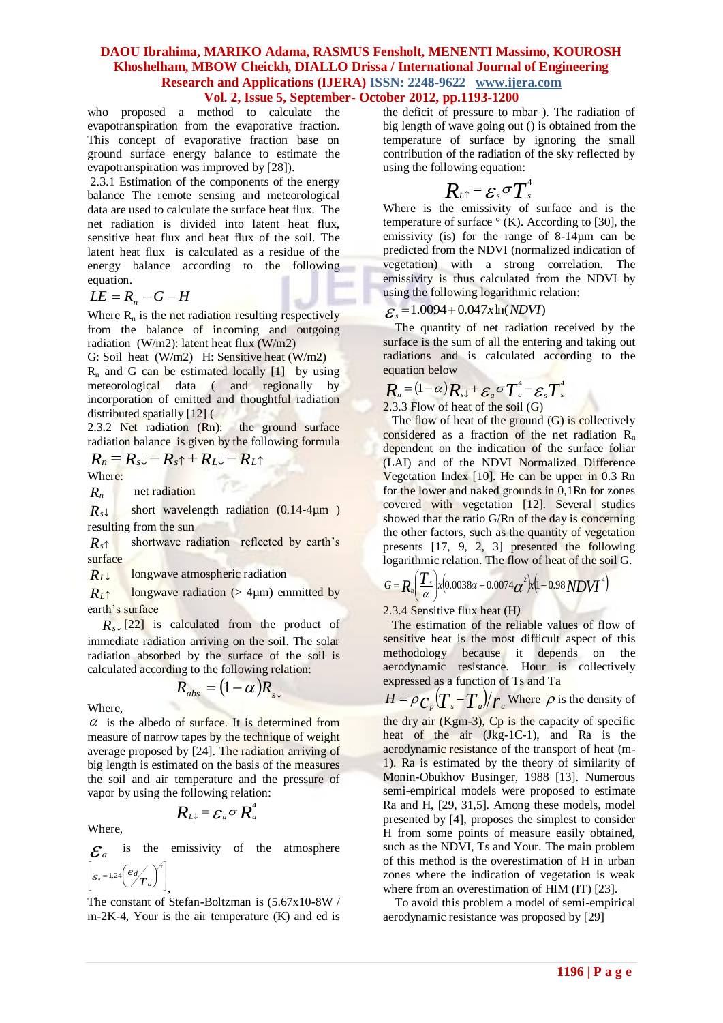### **DAOU Ibrahima, MARIKO Adama, RASMUS Fensholt, MENENTI Massimo, KOUROSH Khoshelham, MBOW Cheickh, DIALLO Drissa / International Journal of Engineering Research and Applications (IJERA) ISSN: 2248-9622 www.ijera.com**

### **Vol. 2, Issue 5, September- October 2012, pp.1193-1200**

who proposed a method to calculate the evapotranspiration from the evaporative fraction. This concept of evaporative fraction base on ground surface energy balance to estimate the evapotranspiration was improved by [28]).

2.3.1 Estimation of the components of the energy balance The remote sensing and meteorological data are used to calculate the surface heat flux. The net radiation is divided into latent heat flux, sensitive heat flux and heat flux of the soil. The latent heat flux is calculated as a residue of the energy balance according to the following equation.

$$
LE = R_n - G - H
$$

Where  $R_n$  is the net radiation resulting respectively from the balance of incoming and outgoing radiation (W/m2): latent heat flux (W/m2)

G: Soil heat (W/m2) H: Sensitive heat (W/m2)  $R_n$  and G can be estimated locally [1] by using meteorological data ( and regionally by incorporation of emitted and thoughtful radiation distributed spatially [12] (

2.3.2 Net radiation (Rn): the ground surface radiation balance is given by the following formula

$$
R_n = R_s \downarrow - R_s \uparrow + R_L \downarrow - R_L \uparrow
$$

Where:

*Rn* net radiation

 $R_s \downarrow$ short wavelength radiation (0.14-4um ) resulting from the sun

 $R_{s}$ <sup> $\uparrow$ </sup> shortwave radiation reflected by earth's surface

 $R_L \downarrow$ longwave atmospheric radiation

 $R_{I}$ <sup> $\uparrow$ </sup> longwave radiation ( $> 4 \mu m$ ) emmitted by earth's surface

 $R_s \downarrow$  [22] is calculated from the product of immediate radiation arriving on the soil. The solar radiation absorbed by the surface of the soil is calculated according to the following relation:

$$
R_{abs} = (1 - \alpha)R_{s\downarrow}
$$

Where,

 $\alpha$  is the albedo of surface. It is determined from measure of narrow tapes by the technique of weight average proposed by [24]. The radiation arriving of big length is estimated on the basis of the measures the soil and air temperature and the pressure of vapor by using the following relation:

Where,

 ${\cal E}_a$ the emissivity of the atmosphere 57 Г. 7

 $R$ *L* $\downarrow$  =  $\mathcal{E}_a$   $\sigma$   $R_a^4$ 

$$
\left[\varepsilon_a = 1.24 \left(\frac{e_d}{T_a}\right)^{1/2}\right]_0
$$

The constant of Stefan-Boltzman is (5.67x10-8W / m-2K-4, Your is the air temperature (K) and ed is the deficit of pressure to mbar ). The radiation of big length of wave going out () is obtained from the temperature of surface by ignoring the small contribution of the radiation of the sky reflected by using the following equation:

$$
R_{\scriptscriptstyle L \uparrow} \, = \! {\cal E}_{\scriptscriptstyle s} \, \sigma T^{\scriptscriptstyle 4}_{\scriptscriptstyle s}
$$

Where is the emissivity of surface and is the temperature of surface  $\degree$  (K). According to [30], the emissivity (is) for the range of 8-14µm can be predicted from the NDVI (normalized indication of vegetation) with a strong correlation. The emissivity is thus calculated from the NDVI by using the following logarithmic relation:

# $\mathcal{E}_s = 1.0094 + 0.047x \ln(NDVI)$

 The quantity of net radiation received by the surface is the sum of all the entering and taking out radiations and is calculated according to the equation below

# $R_{n} = (1 - \alpha)R_{s} + \varepsilon_{a}\sigma T_{a}^{4} - \varepsilon_{s}T_{s}^{4}$

2.3.3 Flow of heat of the soil (G)

The flow of heat of the ground  $(G)$  is collectively considered as a fraction of the net radiation  $R_n$ dependent on the indication of the surface foliar (LAI) and of the NDVI Normalized Difference Vegetation Index [10]. He can be upper in 0.3 Rn for the lower and naked grounds in 0,1Rn for zones covered with vegetation [12]. Several studies showed that the ratio G/Rn of the day is concerning the other factors, such as the quantity of vegetation presents [17, 9, 2, 3] presented the following logarithmic relation. The flow of heat of the soil G.

$$
G = R_n \left( \frac{T_s}{\alpha} \right) x \left( 0.0038\alpha + 0.0074\alpha^2 \right) x \left( 1 - 0.98 N D V I^4 \right)
$$

2.3.4 Sensitive flux heat (H*)*

 The estimation of the reliable values of flow of sensitive heat is the most difficult aspect of this methodology because it depends on the aerodynamic resistance. Hour is collectively expressed as a function of Ts and Ta

 $H = \rho c_p \left(\frac{T_s - T_a}{r_a}\right) / r_a$  Where  $\rho$  is the density of the dry air (Kgm-3), Cp is the capacity of specific heat of the air (Jkg-1C-1), and Ra is the aerodynamic resistance of the transport of heat (m-1). Ra is estimated by the theory of similarity of Monin-Obukhov Businger, 1988 [13]. Numerous semi-empirical models were proposed to estimate Ra and H, [29, 31,5]. Among these models, model presented by [4], proposes the simplest to consider H from some points of measure easily obtained, such as the NDVI, Ts and Your. The main problem of this method is the overestimation of H in urban zones where the indication of vegetation is weak where from an overestimation of HIM (IT) [23].

 To avoid this problem a model of semi-empirical aerodynamic resistance was proposed by [29]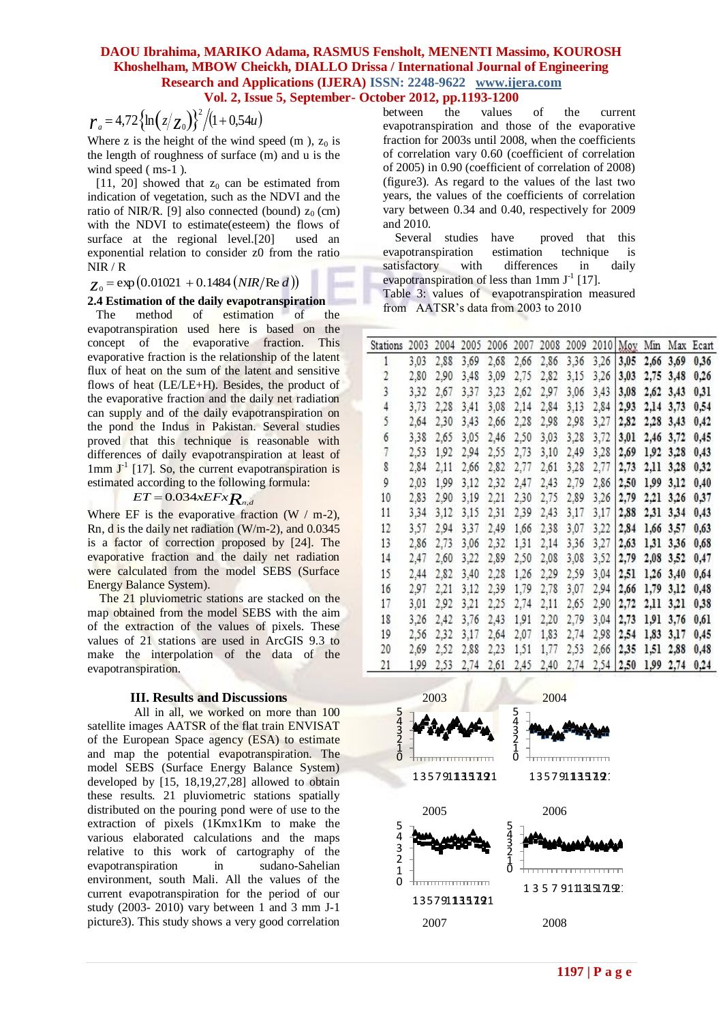$$
r_a = 4.72 \{ \ln (z/z_0) \}^2 / (1 + 0.54u)
$$

# $Z_0$  = exp (0.01021 + 0.1484 (*NIR*/Re *d*))

### **2.4 Estimation of the daily evapotranspiration**

$$
ET = 0.034xEFx_{n,d}
$$

#### **III. Results and Discussions**

| $r_a = 4.72 \{ \ln (z/z_0) \}^2 / (1 + 0.54u)$                                                    |                                                                    | between                                                                                                 | the  |                                                             | values    |                                         | ΟI        | the                           |                          | current              |                |                     |      |
|---------------------------------------------------------------------------------------------------|--------------------------------------------------------------------|---------------------------------------------------------------------------------------------------------|------|-------------------------------------------------------------|-----------|-----------------------------------------|-----------|-------------------------------|--------------------------|----------------------|----------------|---------------------|------|
|                                                                                                   |                                                                    | evapotranspiration and those of the evaporative<br>fraction for 2003s until 2008, when the coefficients |      |                                                             |           |                                         |           |                               |                          |                      |                |                     |      |
| Where z is the height of the wind speed $(m)$ , $z_0$ is                                          |                                                                    | of correlation vary 0.60 (coefficient of correlation                                                    |      |                                                             |           |                                         |           |                               |                          |                      |                |                     |      |
| the length of roughness of surface (m) and u is the<br>wind speed (ms-1).                         |                                                                    | of 2005) in 0.90 (coefficient of correlation of 2008)                                                   |      |                                                             |           |                                         |           |                               |                          |                      |                |                     |      |
| [11, 20] showed that $z_0$ can be estimated from                                                  |                                                                    | (figure 3). As regard to the values of the last two                                                     |      |                                                             |           |                                         |           |                               |                          |                      |                |                     |      |
| indication of vegetation, such as the NDVI and the                                                |                                                                    | years, the values of the coefficients of correlation                                                    |      |                                                             |           |                                         |           |                               |                          |                      |                |                     |      |
| ratio of NIR/R. [9] also connected (bound) $z_0$ (cm)                                             |                                                                    | vary between 0.34 and 0.40, respectively for 2009                                                       |      |                                                             |           |                                         |           |                               |                          |                      |                |                     |      |
| with the NDVI to estimate (esteem) the flows of                                                   |                                                                    | and 2010.                                                                                               |      |                                                             |           |                                         |           |                               |                          |                      |                |                     |      |
| surface at the regional level.[20]<br>used an                                                     |                                                                    | Several studies                                                                                         |      |                                                             | have      |                                         |           | proved that                   |                          | this                 |                |                     |      |
| exponential relation to consider z0 from the ratio                                                |                                                                    | evapotranspiration                                                                                      |      |                                                             |           | estimation                              |           | technique                     |                          | <i>is</i>            |                |                     |      |
| NIR / R                                                                                           |                                                                    | satisfactory                                                                                            |      | with                                                        |           | differences                             |           | in                            |                          | daily                |                |                     |      |
| $_{Z_0}$ = exp(0.01021 + 0.1484 ( <i>NIR</i> /Re <i>d</i> ))                                      |                                                                    | evapotranspiration of less than $1 \text{mm } J^{-1}$ [17].                                             |      |                                                             |           |                                         |           |                               |                          |                      |                |                     |      |
|                                                                                                   |                                                                    | Table 3: values of evapotranspiration measured                                                          |      |                                                             |           |                                         |           |                               |                          |                      |                |                     |      |
| 2.4 Estimation of the daily evapotranspiration<br>of                                              |                                                                    | from AATSR's data from 2003 to 2010                                                                     |      |                                                             |           |                                         |           |                               |                          |                      |                |                     |      |
| method<br>estimation<br>The<br>of<br>the<br>evapotranspiration used here is based on the          |                                                                    |                                                                                                         |      |                                                             |           |                                         |           |                               |                          |                      |                |                     |      |
| concept of the evaporative fraction.<br>This                                                      |                                                                    |                                                                                                         |      |                                                             |           |                                         |           |                               |                          |                      |                |                     |      |
| evaporative fraction is the relationship of the latent                                            | Stations 2003 2004 2005 2006 2007 2008 2009 2010 Moy Min Max Ecart |                                                                                                         |      |                                                             |           |                                         |           |                               |                          |                      |                |                     |      |
| flux of heat on the sum of the latent and sensitive                                               |                                                                    | 3,03                                                                                                    | 2,88 | 3,69                                                        | 2,68      | 2,66                                    |           | 2,86 3,36                     | $3,26$ 3,05              |                      | 2,66 3,69      |                     | 0,36 |
| flows of heat (LE/LE+H). Besides, the product of                                                  |                                                                    | 2,80                                                                                                    | 2,90 | 3,48                                                        | 3,09      | 2,75                                    |           | 2,82 3,15 3,26 3,03 2,75 3,48 |                          |                      |                |                     | 0,26 |
| the evaporative fraction and the daily net radiation                                              | 3                                                                  | 3.32                                                                                                    | 2,67 | 3.37                                                        | 3.23      | 2,62                                    |           | 2,97 3,06                     | 3,43                     | 3,08 2,62 3,43       |                |                     | 0,31 |
| can supply and of the daily evapotranspiration on                                                 |                                                                    | 3.73                                                                                                    | 2,28 | 3,41                                                        |           | 3,08 2,14 2,84 3,13                     |           |                               | 2,84 2,93 2,14 3,73      |                      |                |                     | 0,54 |
| the pond the Indus in Pakistan. Several studies                                                   | 5                                                                  | 2.64                                                                                                    | 2,30 | 3,43                                                        |           | 2,66 2,28 2,98 2,98 3,27 2,82 2,28 3,43 |           |                               |                          |                      |                |                     | 0,42 |
| proved that this technique is reasonable with                                                     | 6                                                                  | 3,38                                                                                                    | 2,65 | 3,05                                                        |           | 2,46 2,50 3,03 3,28                     |           |                               | 3,72                     |                      | 3,01 2,46 3,72 |                     | 0,45 |
| differences of daily evapotranspiration at least of                                               |                                                                    | 2,53                                                                                                    | 1,92 | 2,94                                                        | 2,55 2,73 |                                         | 3,10 2,49 |                               | 3,28                     |                      |                | 2,69 1,92 3,28 0,43 |      |
| $1 \text{mm}$ $J^{\text{-}1}$ [17]. So, the current evapotranspiration is                         | 8                                                                  | 2,84                                                                                                    | 2,11 | 2,66                                                        | 2,82 2,77 |                                         |           | 2,61 3,28                     | 2,77 2,73 2,11 3,28      |                      |                |                     | 0,32 |
| estimated according to the following formula:                                                     | 9                                                                  | 2,03                                                                                                    | 1,99 | 3,12                                                        |           | 2,32 2,47 2,43 2,79                     |           |                               | 2,86                     | 2,50 1,99 3,12       |                |                     | 0,40 |
| $ET = 0.034xEFx R_{nd}$                                                                           | 10                                                                 | 2,83                                                                                                    |      | 2,90 3,19                                                   |           | 2,21 2,30 2,75 2,89                     |           |                               | 3,26                     | $2,79$ $2,21$ $3,26$ |                |                     | 0,37 |
|                                                                                                   | 11                                                                 | 3,34                                                                                                    | 3,12 |                                                             |           |                                         |           |                               |                          |                      |                |                     |      |
| Where EF is the evaporative fraction $(W / m-2)$ ,                                                |                                                                    |                                                                                                         |      |                                                             |           | 3,15 2,31 2,39 2,43 3,17                |           |                               | 3,17 2,88 2,31 3,34 0,43 |                      |                |                     |      |
| Rn, d is the daily net radiation ( $W/m-2$ ), and 0.0345                                          | 12                                                                 | 3,57                                                                                                    |      | 2,94 3,37                                                   |           | 2,49 1,66 2,38 3,07                     |           |                               | 3,22 2,84 1,66 3,57      |                      |                |                     | 0,63 |
| is a factor of correction proposed by [24]. The                                                   | 13                                                                 | 2,86                                                                                                    | 2,73 | 3,06                                                        |           | 2,32 1,31 2,14 3,36 3,27 2,63 1,31 3,36 |           |                               |                          |                      |                |                     | 0,68 |
| evaporative fraction and the daily net radiation                                                  | 14                                                                 | 2,47                                                                                                    | 2,60 | 3,22                                                        |           | 2,89 2,50 2,08 3,08 3,52 2,79 2,08 3,52 |           |                               |                          |                      |                |                     | 0,47 |
| were calculated from the model SEBS (Surface                                                      | 15                                                                 | 2.44                                                                                                    |      | 2,82 3,40 2,28 1,26 2,29 2,59 3,04 2,51 1,26 3,40           |           |                                         |           |                               |                          |                      |                |                     | 0,64 |
| Energy Balance System).                                                                           | 16                                                                 | 2,97                                                                                                    | 2,21 | 3,12                                                        |           | 2,39 1,79 2,78 3,07                     |           |                               | 2,94 2,66 1,79 3,12      |                      |                |                     | 0,48 |
| The 21 pluviometric stations are stacked on the                                                   | 17                                                                 | 3,01                                                                                                    | 2,92 | 3,21                                                        |           | 2,25 2,74 2,11 2,65 2,90 2,72 2,11 3,21 |           |                               |                          |                      |                |                     | 0,38 |
| map obtained from the model SEBS with the aim                                                     | 18                                                                 | 3,26                                                                                                    | 2,42 | 3,76                                                        | 2,43      | 1,91 2,20                               |           | 2,79                          | 3,04                     | 2,73 1,91 3,76       |                |                     | 0,61 |
| of the extraction of the values of pixels. These                                                  | 19                                                                 | 2,56                                                                                                    |      | 2,32 3,17                                                   | 2,64      | 2,07                                    | 1,83 2,74 |                               | 2,98 2,54 1,83 3,17      |                      |                |                     | 0,45 |
| values of 21 stations are used in ArcGIS 9.3 to                                                   | 20                                                                 | 2,69                                                                                                    |      | 2,52 2,88 2,23 1,51 1,77 2,53 2,66 2,35 1,51 2,88 0,48      |           |                                         |           |                               |                          |                      |                |                     |      |
| make the interpolation of the data of the                                                         | 21                                                                 |                                                                                                         |      | 1,99 2,53 2,74 2,61 2,45 2,40 2,74 2,54 2,50 1,99 2,74 0,24 |           |                                         |           |                               |                          |                      |                |                     |      |
| evapotranspiration.                                                                               |                                                                    |                                                                                                         |      |                                                             |           |                                         |           |                               |                          |                      |                |                     |      |
|                                                                                                   |                                                                    |                                                                                                         |      |                                                             |           |                                         |           |                               |                          |                      |                |                     |      |
| <b>III. Results and Discussions</b>                                                               |                                                                    |                                                                                                         | 2003 |                                                             |           |                                         | 2004      |                               |                          |                      |                |                     |      |
| All in all, we worked on more than 100                                                            | 543210                                                             |                                                                                                         |      |                                                             |           | 54321                                   |           |                               |                          |                      |                |                     |      |
| satellite images AATSR of the flat train ENVISAT                                                  |                                                                    |                                                                                                         |      |                                                             |           |                                         |           |                               |                          |                      |                |                     |      |
| of the European Space agency (ESA) to estimate                                                    |                                                                    |                                                                                                         |      |                                                             |           |                                         |           |                               |                          |                      |                |                     |      |
| and map the potential evapotranspiration. The                                                     |                                                                    |                                                                                                         |      |                                                             |           | 0                                       |           |                               |                          |                      |                |                     |      |
| model SEBS (Surface Energy Balance System)                                                        |                                                                    |                                                                                                         |      | 135791135791                                                |           |                                         |           | 13579113519.                  |                          |                      |                |                     |      |
| developed by [15, 18,19,27,28] allowed to obtain                                                  |                                                                    |                                                                                                         |      |                                                             |           |                                         |           |                               |                          |                      |                |                     |      |
| these results. 21 pluviometric stations spatially                                                 |                                                                    |                                                                                                         |      |                                                             |           |                                         |           |                               |                          |                      |                |                     |      |
| distributed on the pouring pond were of use to the                                                |                                                                    |                                                                                                         | 2005 |                                                             |           |                                         | 2006      |                               |                          |                      |                |                     |      |
| extraction of pixels (1Kmx1Km to make the                                                         | 5                                                                  |                                                                                                         |      |                                                             |           |                                         |           |                               |                          |                      |                |                     |      |
| various elaborated calculations and the maps                                                      | 4<br>3                                                             |                                                                                                         |      |                                                             |           | <b>J43210</b>                           |           |                               |                          |                      |                |                     |      |
| relative to this work of cartography of the                                                       | $\overline{2}$                                                     |                                                                                                         |      |                                                             |           |                                         |           |                               |                          |                      |                |                     |      |
| evapotranspiration<br>in<br>sudano-Sahelian                                                       | 1                                                                  |                                                                                                         |      |                                                             |           |                                         |           |                               |                          |                      |                |                     |      |
| environment, south Mali. All the values of the                                                    | 0                                                                  |                                                                                                         |      | <del>.</del>                                                |           |                                         |           | 13579111315171921             |                          |                      |                |                     |      |
| current evapotranspiration for the period of our<br>study (2003-2010) vary between 1 and 3 mm J-1 |                                                                    | 135791135791                                                                                            |      |                                                             |           |                                         |           |                               |                          |                      |                |                     |      |
| picture3). This study shows a very good correlation                                               |                                                                    |                                                                                                         |      |                                                             |           |                                         |           |                               |                          |                      |                |                     |      |
|                                                                                                   |                                                                    |                                                                                                         | 2007 |                                                             |           |                                         | 2008      |                               |                          |                      |                |                     |      |
|                                                                                                   |                                                                    |                                                                                                         |      |                                                             |           |                                         |           |                               |                          |                      |                |                     |      |
|                                                                                                   |                                                                    |                                                                                                         |      |                                                             |           |                                         |           |                               |                          |                      |                |                     |      |
|                                                                                                   |                                                                    |                                                                                                         |      |                                                             |           |                                         |           | $1197$   P a g e              |                          |                      |                |                     |      |

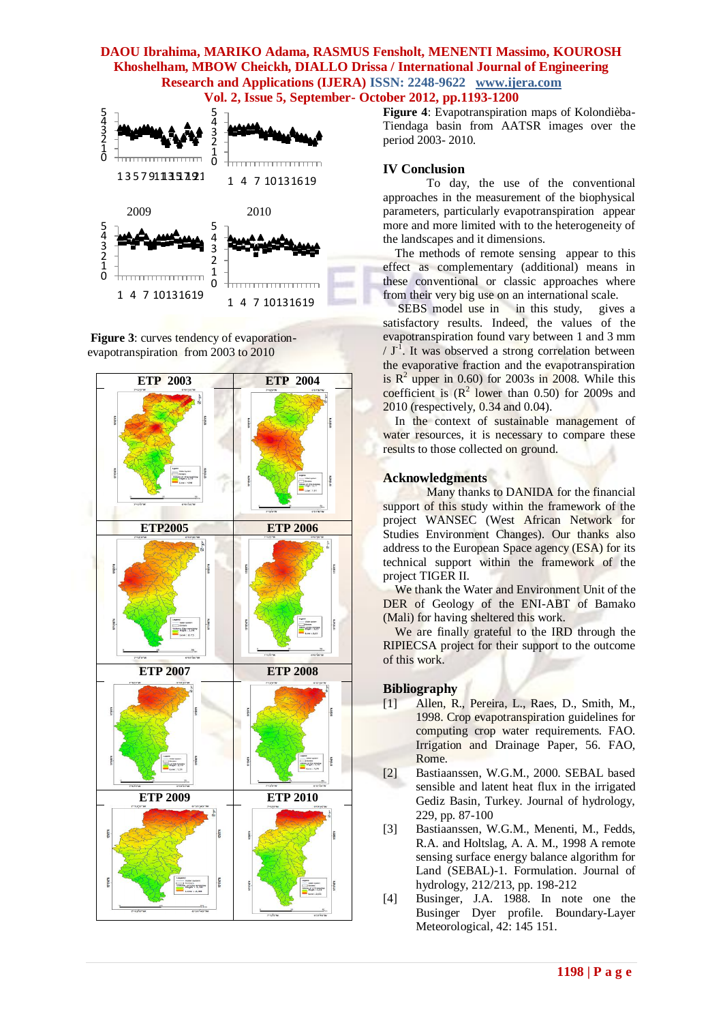# **DAOU Ibrahima, MARIKO Adama, RASMUS Fensholt, MENENTI Massimo, KOUROSH Khoshelham, MBOW Cheickh, DIALLO Drissa / International Journal of Engineering Research and Applications (IJERA) ISSN: 2248-9622 www.ijera.com**









**Figure 4**: Evapotranspiration maps of Kolondièba-Tiendaga basin from AATSR images over the period 2003- 2010.

### **IV Conclusion**

 To day, the use of the conventional approaches in the measurement of the biophysical parameters, particularly evapotranspiration appear more and more limited with to the heterogeneity of the landscapes and it dimensions.

 The methods of remote sensing appear to this effect as complementary (additional) means in these conventional or classic approaches where from their very big use on an international scale.

SEBS model use in in this study, gives a satisfactory results. Indeed, the values of the evapotranspiration found vary between 1 and 3 mm  $/J<sup>-1</sup>$ . It was observed a strong correlation between the evaporative fraction and the evapotranspiration is  $R^2$  upper in 0.60) for 2003s in 2008. While this coefficient is  $(R^2$  lower than 0.50) for 2009s and 2010 (respectively, 0.34 and 0.04).

In the context of sustainable management of water resources, it is necessary to compare these results to those collected on ground.

### **Acknowledgments**

 Many thanks to DANIDA for the financial support of this study within the framework of the project WANSEC (West African Network for Studies Environment Changes). Our thanks also address to the European Space agency (ESA) for its technical support within the framework of the project TIGER II.

We thank the Water and Environment Unit of the DER of Geology of the ENI-ABT of Bamako (Mali) for having sheltered this work.

We are finally grateful to the IRD through the RIPIECSA project for their support to the outcome of this work.

### **Bibliography**

- [1] Allen, R., Pereira, L., Raes, D., Smith, M., 1998. Crop evapotranspiration guidelines for computing crop water requirements. FAO. Irrigation and Drainage Paper, 56. FAO, Rome.
- [2] Bastiaanssen, W.G.M., 2000. SEBAL based sensible and latent heat flux in the irrigated Gediz Basin, Turkey. Journal of hydrology, 229, pp. 87-100
- [3] Bastiaanssen, W.G.M., Menenti, M., Fedds, R.A. and Holtslag, A. A. M., 1998 A remote sensing surface energy balance algorithm for Land (SEBAL)-1. Formulation. Journal of hydrology, 212/213, pp. 198-212
- [4] Businger, J.A. 1988. In note one the Businger Dyer profile. Boundary-Layer Meteorological, 42: 145 151.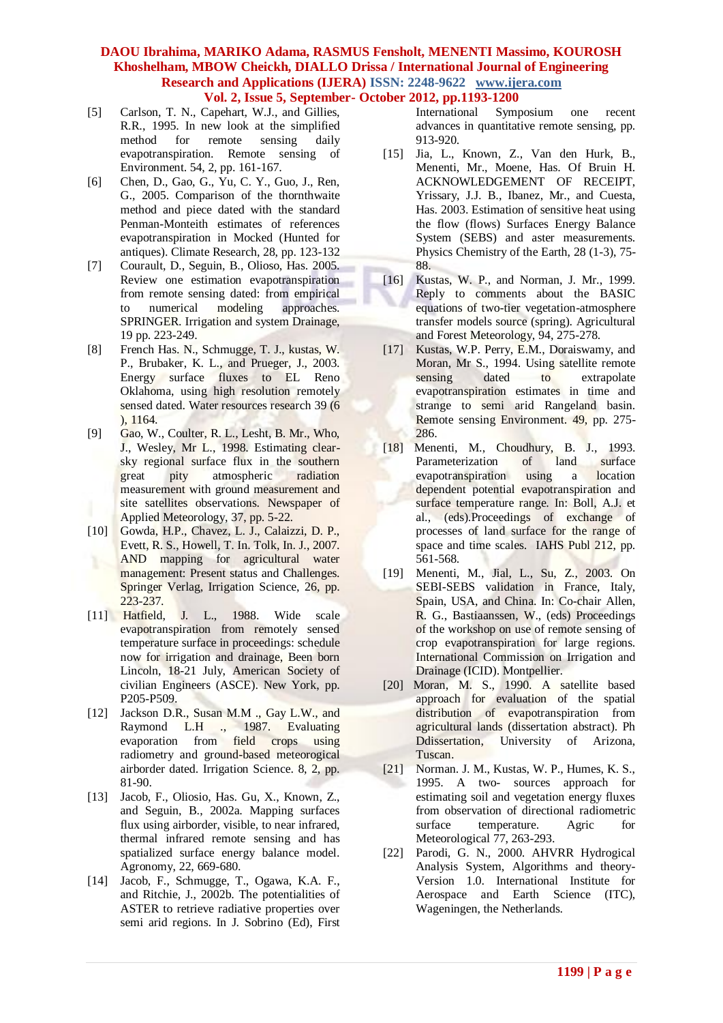# **DAOU Ibrahima, MARIKO Adama, RASMUS Fensholt, MENENTI Massimo, KOUROSH Khoshelham, MBOW Cheickh, DIALLO Drissa / International Journal of Engineering Research and Applications (IJERA) ISSN: 2248-9622 www.ijera.com**

- **Vol. 2, Issue 5, September- October 2012, pp.1193-1200**
- [5] Carlson, T. N., Capehart, W.J., and Gillies, R.R., 1995. In new look at the simplified method for remote sensing daily evapotranspiration. Remote sensing of Environment. 54, 2, pp. 161-167.
- [6] Chen, D., Gao, G., Yu, C. Y., Guo, J., Ren, G., 2005. Comparison of the thornthwaite method and piece dated with the standard Penman-Monteith estimates of references evapotranspiration in Mocked (Hunted for antiques). Climate Research, 28, pp. 123-132
- [7] Courault, D., Seguin, B., Olioso, Has. 2005. Review one estimation evapotranspiration from remote sensing dated: from empirical to numerical modeling approaches. SPRINGER. Irrigation and system Drainage, 19 pp. 223-249.
- [8] French Has. N., Schmugge, T. J., kustas, W. P., Brubaker, K. L., and Prueger, J., 2003. Energy surface fluxes to EL Reno Oklahoma, using high resolution remotely sensed dated. Water resources research 39 (6 ), 1164.
- [9] Gao, W., Coulter, R. L., Lesht, B. Mr., Who, J., Wesley, Mr L., 1998. Estimating clearsky regional surface flux in the southern great pity atmospheric radiation measurement with ground measurement and site satellites observations. Newspaper of Applied Meteorology, 37, pp. 5-22.
- [10] Gowda, H.P., Chavez, L. J., Calaizzi, D. P., Evett, R. S., Howell, T. In. Tolk, In. J., 2007. AND mapping for agricultural water management: Present status and Challenges. Springer Verlag, Irrigation Science, 26, pp. 223-237.
- [11] Hatfield, J. L., 1988. Wide scale evapotranspiration from remotely sensed temperature surface in proceedings: schedule now for irrigation and drainage, Been born Lincoln, 18-21 July, American Society of civilian Engineers (ASCE). New York, pp. P205-P509.
- [12] Jackson D.R., Susan M.M ., Gay L.W., and Raymond L.H ., 1987. Evaluating evaporation from field crops using radiometry and ground-based meteorogical airborder dated. Irrigation Science. 8, 2, pp. 81-90.
- [13] Jacob, F., Oliosio, Has. Gu, X., Known, Z., and Seguin, B., 2002a. Mapping surfaces flux using airborder, visible, to near infrared, thermal infrared remote sensing and has spatialized surface energy balance model. Agronomy, 22, 669-680.
- [14] Jacob, F., Schmugge, T., Ogawa, K.A. F., and Ritchie, J., 2002b. The potentialities of ASTER to retrieve radiative properties over semi arid regions. In J. Sobrino (Ed), First

International Symposium one recent advances in quantitative remote sensing, pp. 913-920.

- [15] Jia, L., Known, Z., Van den Hurk, B., Menenti, Mr., Moene, Has. Of Bruin H. ACKNOWLEDGEMENT OF RECEIPT, Yrissary, J.J. B., Ibanez, Mr., and Cuesta, Has. 2003. Estimation of sensitive heat using the flow (flows) Surfaces Energy Balance System (SEBS) and aster measurements. Physics Chemistry of the Earth, 28 (1-3), 75- 88.
- [16] Kustas, W. P., and Norman, J. Mr., 1999. Reply to comments about the BASIC equations of two-tier vegetation-atmosphere transfer models source (spring). Agricultural and Forest Meteorology, 94, 275-278.
- [17] Kustas, W.P. Perry, E.M., Doraiswamy, and Moran, Mr S., 1994. Using satellite remote sensing dated to extrapolate evapotranspiration estimates in time and strange to semi arid Rangeland basin. Remote sensing Environment. 49, pp. 275- 286.
- [18] Menenti, M., Choudhury, B. J., 1993. Parameterization of land surface evapotranspiration using a location dependent potential evapotranspiration and surface temperature range. In: Boll, A.J. et al., (eds).Proceedings of exchange of processes of land surface for the range of space and time scales. IAHS Publ 212, pp. 561-568.
- [19] Menenti, M., Jial, L., Su, Z., 2003. On SEBI-SEBS validation in France, Italy, Spain, USA, and China. In: Co-chair Allen, R. G., Bastiaanssen, W., (eds) Proceedings of the workshop on use of remote sensing of crop evapotranspiration for large regions. International Commission on Irrigation and Drainage (ICID). Montpellier.
- [20] Moran, M. S., 1990. A satellite based approach for evaluation of the spatial distribution of evapotranspiration from agricultural lands (dissertation abstract). Ph Ddissertation, University of Arizona, Tuscan.
- [21] Norman. J. M., Kustas, W. P., Humes, K. S., 1995. A two- sources approach for estimating soil and vegetation energy fluxes from observation of directional radiometric surface temperature. Agric for Meteorological 77, 263-293.
- [22] Parodi, G. N., 2000. AHVRR Hydrogical Analysis System, Algorithms and theory-Version 1.0. International Institute for Aerospace and Earth Science (ITC), Wageningen, the Netherlands.